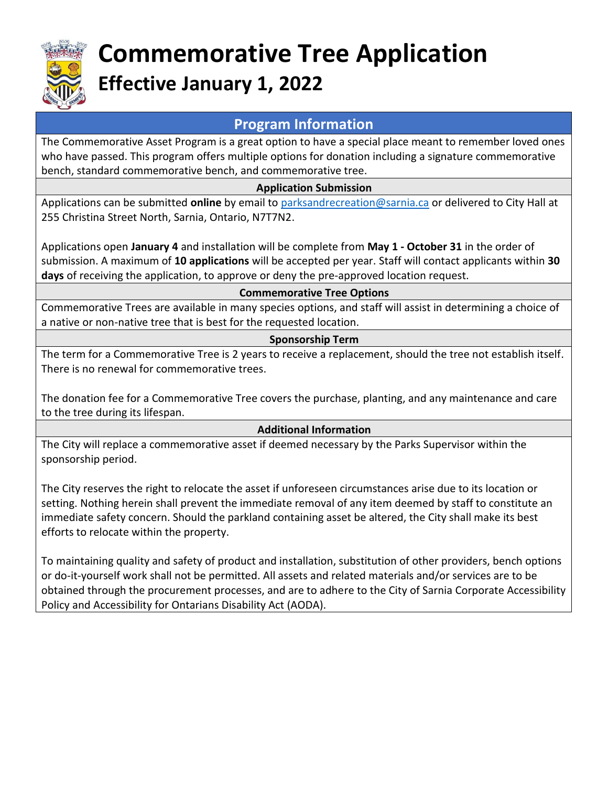

# **Commemorative Tree Application Effective January 1, 2022**

# **Program Information**

The Commemorative Asset Program is a great option to have a special place meant to remember loved ones who have passed. This program offers multiple options for donation including a signature commemorative bench, standard commemorative bench, and commemorative tree.

### **Application Submission**

Applications can be submitted **online** by email to [parksandrecreation@sarnia.ca](mailto:parksandrecreation@sarnia.ca) or delivered to City Hall at 255 Christina Street North, Sarnia, Ontario, N7T7N2.

Applications open **January 4** and installation will be complete from **May 1 - October 31** in the order of submission. A maximum of **10 applications** will be accepted per year. Staff will contact applicants within **30 days** of receiving the application, to approve or deny the pre-approved location request.

#### **Commemorative Tree Options**

Commemorative Trees are available in many species options, and staff will assist in determining a choice of a native or non-native tree that is best for the requested location.

#### **Sponsorship Term**

The term for a Commemorative Tree is 2 years to receive a replacement, should the tree not establish itself. There is no renewal for commemorative trees.

The donation fee for a Commemorative Tree covers the purchase, planting, and any maintenance and care to the tree during its lifespan.

#### **Additional Information**

The City will replace a commemorative asset if deemed necessary by the Parks Supervisor within the sponsorship period.

The City reserves the right to relocate the asset if unforeseen circumstances arise due to its location or setting. Nothing herein shall prevent the immediate removal of any item deemed by staff to constitute an immediate safety concern. Should the parkland containing asset be altered, the City shall make its best efforts to relocate within the property.

To maintaining quality and safety of product and installation, substitution of other providers, bench options or do-it-yourself work shall not be permitted. All assets and related materials and/or services are to be obtained through the procurement processes, and are to adhere to the City of Sarnia Corporate Accessibility Policy and Accessibility for Ontarians Disability Act (AODA).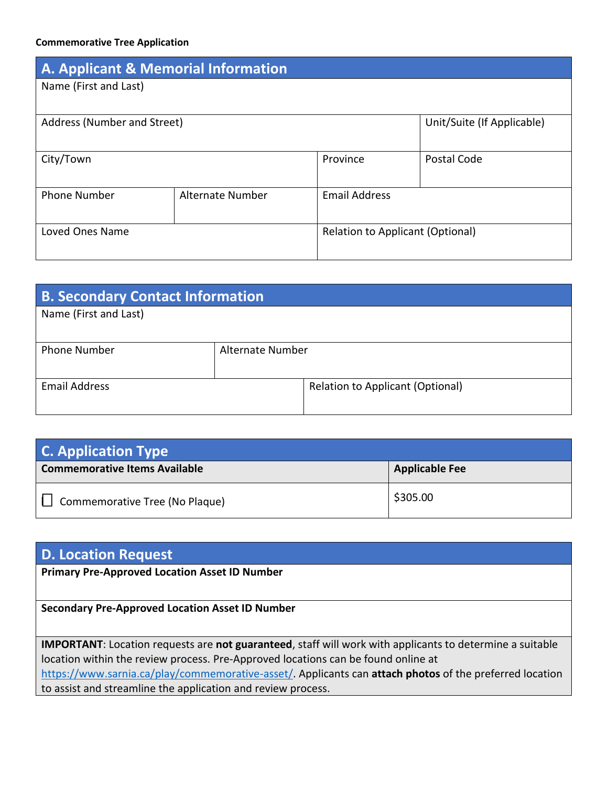| A. Applicant & Memorial Information |                  |                                         |                            |
|-------------------------------------|------------------|-----------------------------------------|----------------------------|
| Name (First and Last)               |                  |                                         |                            |
|                                     |                  |                                         |                            |
| Address (Number and Street)         |                  |                                         | Unit/Suite (If Applicable) |
|                                     |                  |                                         |                            |
| City/Town                           |                  | Province                                | Postal Code                |
|                                     |                  |                                         |                            |
| <b>Phone Number</b>                 | Alternate Number | <b>Email Address</b>                    |                            |
|                                     |                  |                                         |                            |
| Loved Ones Name                     |                  | <b>Relation to Applicant (Optional)</b> |                            |
|                                     |                  |                                         |                            |

| <b>B. Secondary Contact Information</b> |                  |                                         |
|-----------------------------------------|------------------|-----------------------------------------|
| Name (First and Last)                   |                  |                                         |
|                                         |                  |                                         |
| <b>Phone Number</b>                     | Alternate Number |                                         |
| <b>Email Address</b>                    |                  | <b>Relation to Applicant (Optional)</b> |

| <b>C. Application Type</b>           |                       |
|--------------------------------------|-----------------------|
| <b>Commemorative Items Available</b> | <b>Applicable Fee</b> |
| Commemorative Tree (No Plaque)       | \$305.00              |

## **D. Location Request**

**Primary Pre-Approved Location Asset ID Number**

**Secondary Pre-Approved Location Asset ID Number**

**IMPORTANT**: Location requests are **not guaranteed**, staff will work with applicants to determine a suitable location within the review process. Pre-Approved locations can be found online at [https://www.sarnia.ca/play/commemorative-asset/.](https://www.sarnia.ca/play/commemorative-asset/) Applicants can **attach photos** of the preferred location to assist and streamline the application and review process.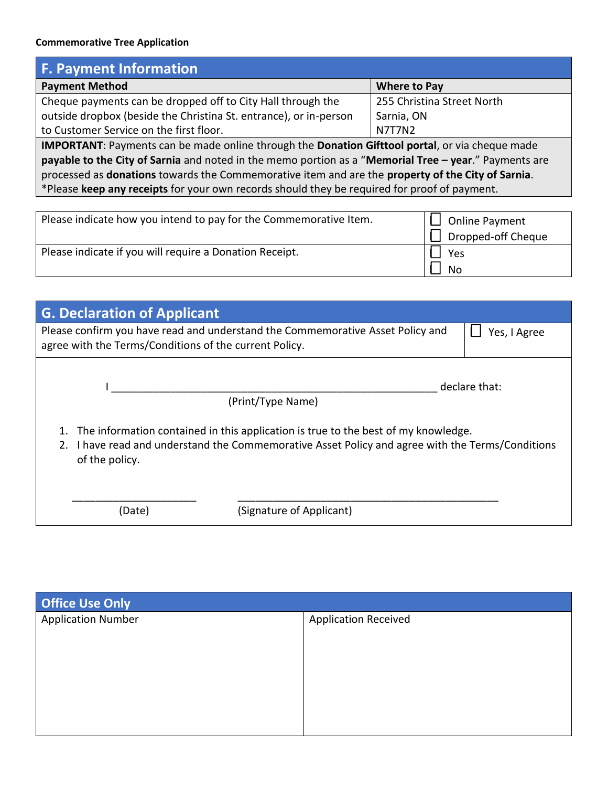#### **Commemorative Tree Application**

| <b>F. Payment Information</b>                                                                          |                            |  |
|--------------------------------------------------------------------------------------------------------|----------------------------|--|
| <b>Payment Method</b>                                                                                  | <b>Where to Pay</b>        |  |
| Cheque payments can be dropped off to City Hall through the                                            | 255 Christina Street North |  |
| outside dropbox (beside the Christina St. entrance), or in-person                                      | Sarnia, ON                 |  |
| to Customer Service on the first floor.                                                                | <b>N7T7N2</b>              |  |
| <b>IMPORTANT:</b> Payments can be made online through the Donation Gifttool portal, or via cheque made |                            |  |
| payable to the City of Sarnia and noted in the memo portion as a "Memorial Tree - year." Payments are  |                            |  |
| processed as donations towards the Commemorative item and are the property of the City of Sarnia.      |                            |  |
| *Please keep any receipts for your own records should they be required for proof of payment.           |                            |  |

| Please indicate how you intend to pay for the Commemorative Item. | Online Payment     |
|-------------------------------------------------------------------|--------------------|
|                                                                   | Dropped-off Cheque |
| Please indicate if you will require a Donation Receipt.           | Yes                |
|                                                                   | <b>No</b>          |

| <b>G. Declaration of Applicant</b>                                                                                                                                                                             |                                                        |                                                                                |               |
|----------------------------------------------------------------------------------------------------------------------------------------------------------------------------------------------------------------|--------------------------------------------------------|--------------------------------------------------------------------------------|---------------|
|                                                                                                                                                                                                                | agree with the Terms/Conditions of the current Policy. | Please confirm you have read and understand the Commemorative Asset Policy and | Yes, I Agree  |
|                                                                                                                                                                                                                |                                                        | (Print/Type Name)                                                              | declare that: |
| 1. The information contained in this application is true to the best of my knowledge.<br>I have read and understand the Commemorative Asset Policy and agree with the Terms/Conditions<br>2.<br>of the policy. |                                                        |                                                                                |               |
|                                                                                                                                                                                                                | (Date)                                                 | (Signature of Applicant)                                                       |               |

| <b>Office Use Only</b>    |                             |
|---------------------------|-----------------------------|
| <b>Application Number</b> | <b>Application Received</b> |
|                           |                             |
|                           |                             |
|                           |                             |
|                           |                             |
|                           |                             |
|                           |                             |